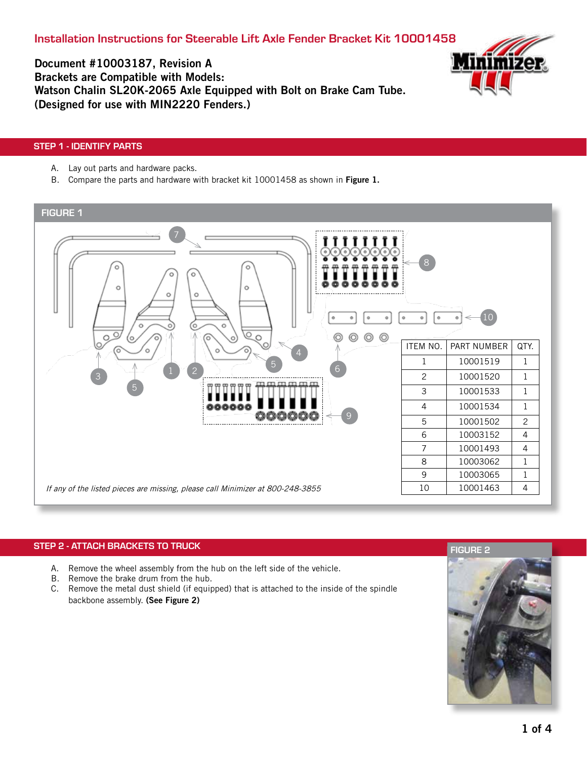Installation Instructions for Steerable Lift Axle Fender Bracket Kit 10001458



Document #10003187, Revision A Brackets are Compatible with Models: Watson Chalin SL20K-2065 Axle Equipped with Bolt on Brake Cam Tube. (Designed for use with MIN2220 Fenders.)

# STEP 1 - IDENTIFY PARTS

- A. Lay out parts and hardware packs.
- B. Compare the parts and hardware with bracket kit 10001458 as shown in Figure 1.



# STEP 2 - ATTACH BRACKETS TO TRUCK

- A. Remove the wheel assembly from the hub on the left side of the vehicle.
- B. Remove the brake drum from the hub.
- C. Remove the metal dust shield (if equipped) that is attached to the inside of the spindle backbone assembly. (See Figure 2)

# FIGURE 2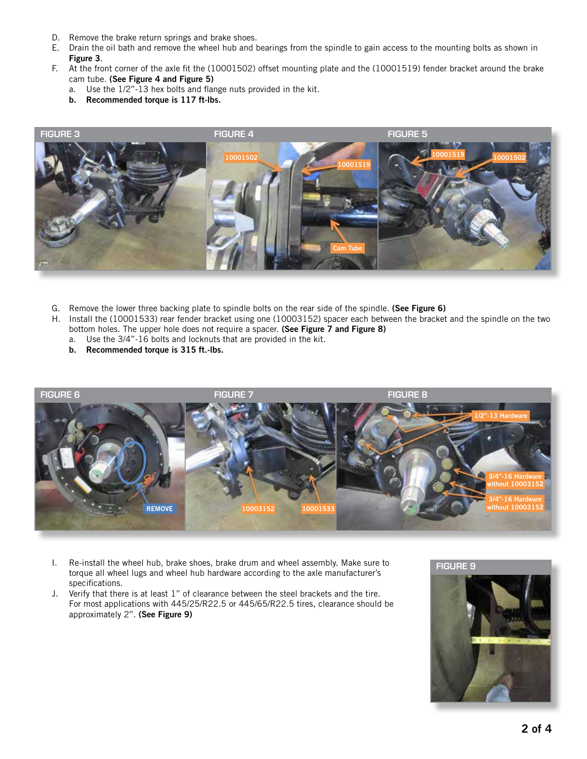- D. Remove the brake return springs and brake shoes.
- E. Drain the oil bath and remove the wheel hub and bearings from the spindle to gain access to the mounting bolts as shown in Figure 3.
- F. At the front corner of the axle fit the (10001502) offset mounting plate and the (10001519) fender bracket around the brake cam tube. (See Figure 4 and Figure 5)
	- a. Use the 1/2"-13 hex bolts and flange nuts provided in the kit.
	- b. Recommended torque is 117 ft-lbs.



- G. Remove the lower three backing plate to spindle bolts on the rear side of the spindle. (See Figure 6)
- H. Install the (10001533) rear fender bracket using one (10003152) spacer each between the bracket and the spindle on the two bottom holes. The upper hole does not require a spacer. (See Figure 7 and Figure 8)
	- a. Use the 3/4"-16 bolts and locknuts that are provided in the kit.
	- b. Recommended torque is 315 ft.-lbs.



- I. Re-install the wheel hub, brake shoes, brake drum and wheel assembly. Make sure to torque all wheel lugs and wheel hub hardware according to the axle manufacturer's specifications.
- J. Verify that there is at least 1" of clearance between the steel brackets and the tire. For most applications with 445/25/R22.5 or 445/65/R22.5 tires, clearance should be approximately 2". (See Figure 9)

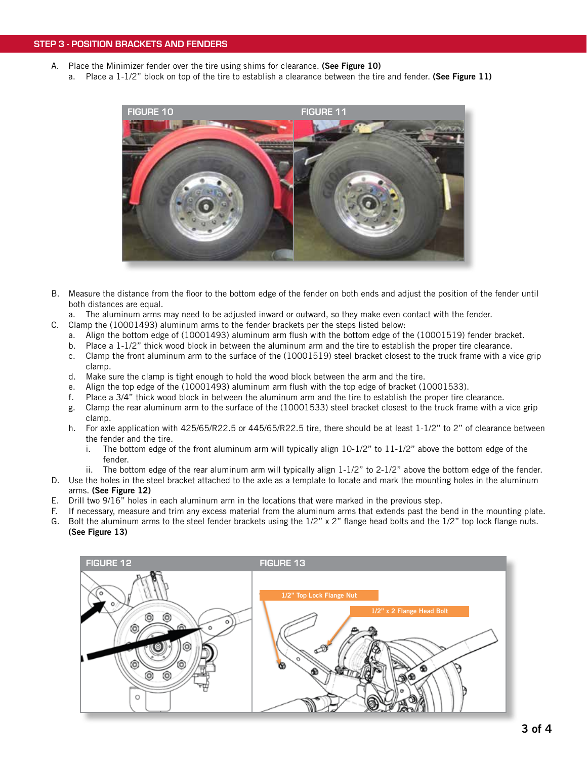- A. Place the Minimizer fender over the tire using shims for clearance. (See Figure 10)
	- a. Place a  $1-1/2$ " block on top of the tire to establish a clearance between the tire and fender. (See Figure 11)



- B. Measure the distance from the floor to the bottom edge of the fender on both ends and adjust the position of the fender until both distances are equal.
- a. The aluminum arms may need to be adjusted inward or outward, so they make even contact with the fender.
- C. Clamp the (10001493) aluminum arms to the fender brackets per the steps listed below:
	- a. Align the bottom edge of (10001493) aluminum arm flush with the bottom edge of the (10001519) fender bracket.
	- b. Place a 1-1/2" thick wood block in between the aluminum arm and the tire to establish the proper tire clearance.
	- c. Clamp the front aluminum arm to the surface of the (10001519) steel bracket closest to the truck frame with a vice grip clamp.
	- d. Make sure the clamp is tight enough to hold the wood block between the arm and the tire.
	- e. Align the top edge of the (10001493) aluminum arm flush with the top edge of bracket (10001533).
	- f. Place a 3/4" thick wood block in between the aluminum arm and the tire to establish the proper tire clearance.
	- g. Clamp the rear aluminum arm to the surface of the (10001533) steel bracket closest to the truck frame with a vice grip clamp.
	- h. For axle application with 425/65/R22.5 or 445/65/R22.5 tire, there should be at least 1-1/2" to 2" of clearance between the fender and the tire.
		- i. The bottom edge of the front aluminum arm will typically align  $10-1/2$ " to  $11-1/2$ " above the bottom edge of the fender.
	- ii. The bottom edge of the rear aluminum arm will typically align  $1-1/2$ " to  $2-1/2$ " above the bottom edge of the fender.
- D. Use the holes in the steel bracket attached to the axle as a template to locate and mark the mounting holes in the aluminum arms. (See Figure 12)
- E. Drill two 9/16" holes in each aluminum arm in the locations that were marked in the previous step.
- F. If necessary, measure and trim any excess material from the aluminum arms that extends past the bend in the mounting plate.
- G. Bolt the aluminum arms to the steel fender brackets using the 1/2" x 2" flange head bolts and the 1/2" top lock flange nuts.
- (See Figure 13)